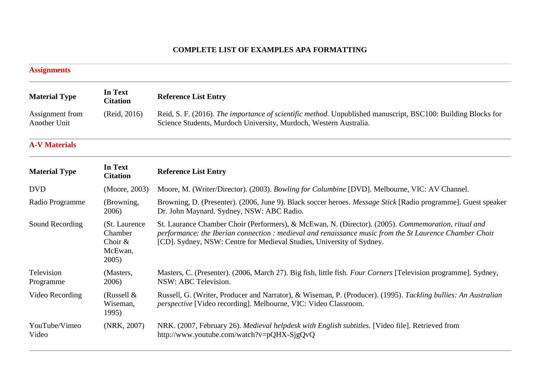## **COMPLETE LIST OF EXAMPLES APA FORMATTING**

| <b>Assignments</b>              |                                                           |                                                                                                                                                                                                                                                                                         |
|---------------------------------|-----------------------------------------------------------|-----------------------------------------------------------------------------------------------------------------------------------------------------------------------------------------------------------------------------------------------------------------------------------------|
| <b>Material Type</b>            | In Text<br><b>Citation</b>                                | <b>Reference List Entry</b>                                                                                                                                                                                                                                                             |
| Assignment from<br>Another Unit | (Reid, 2016)                                              | Reid, S. F. (2016). The importance of scientific method. Unpublished manuscript, BSC100: Building Blocks for<br>Science Students, Murdoch University, Murdoch, Western Australia.                                                                                                       |
| <b>A-V Materials</b>            |                                                           |                                                                                                                                                                                                                                                                                         |
| <b>Material Type</b>            | In Text<br><b>Citation</b>                                | <b>Reference List Entry</b>                                                                                                                                                                                                                                                             |
| <b>DVD</b>                      | (Moore, 2003)                                             | Moore, M. (Writer/Director). (2003). Bowling for Columbine [DVD]. Melbourne, VIC: AV Channel.                                                                                                                                                                                           |
| Radio Programme                 | (Browning,<br>2006)                                       | Browning, D. (Presenter). (2006, June 9). Black soccer heroes. Message Stick [Radio programme]. Guest speaker<br>Dr. John Maynard. Sydney, NSW: ABC Radio.                                                                                                                              |
| Sound Recording                 | (St. Laurence<br>Chamber<br>Choir $&$<br>McEwan,<br>2005) | St. Laurance Chamber Choir (Performers), & McEwan, N. (Director). (2005). Commemoration, ritual and<br>performance: the Iberian connection : medieval and renaissance music from the St Laurence Chamber Choir<br>[CD]. Sydney, NSW: Centre for Medieval Studies, University of Sydney. |
| Television<br>Programme         | (Masters,<br>2006)                                        | Masters, C. (Presenter). (2006, March 27). Big fish, little fish. <i>Four Corners</i> [Television programme]. Sydney,<br>NSW: ABC Television.                                                                                                                                           |
| Video Recording                 | (Russell $&$<br>Wiseman,<br>1995)                         | Russell, G. (Writer, Producer and Narrator), & Wiseman, P. (Producer). (1995). Tackling bullies: An Australian<br><i>perspective</i> [Video recording]. Melbourne, VIC: Video Classroom.                                                                                                |
| YouTube/Vimeo<br>Video          | (NRK, 2007)                                               | NRK. (2007, February 26). Medieval helpdesk with English subtitles. [Video file]. Retrieved from<br>http://www.youtube.com/watch?v=pQHX-SjgQvQ                                                                                                                                          |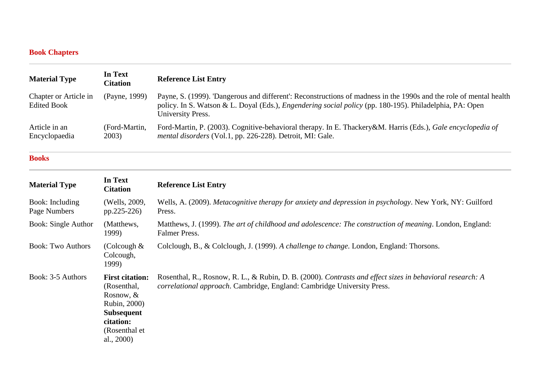# **[Book Chapters](https://libguides.murdoch.edu.au/APA/chapter)**

| <b>Material Type</b>                        | In Text<br>Citation    | <b>Reference List Entry</b>                                                                                                                                                                                                                               |
|---------------------------------------------|------------------------|-----------------------------------------------------------------------------------------------------------------------------------------------------------------------------------------------------------------------------------------------------------|
| Chapter or Article in<br><b>Edited Book</b> | (Payne, 1999)          | Payne, S. (1999). 'Dangerous and different': Reconstructions of madness in the 1990s and the role of mental health<br>policy. In S. Watson & L. Doyal (Eds.), <i>Engendering social policy</i> (pp. 180-195). Philadelphia, PA: Open<br>University Press. |
| Article in an<br>Encyclopaedia              | (Ford-Martin,<br>2003) | Ford-Martin, P. (2003). Cognitive-behavioral therapy. In E. Thackery&M. Harris (Eds.), Gale encyclopedia of<br><i>mental disorders</i> (Vol.1, pp. 226-228). Detroit, MI: Gale.                                                                           |

#### **[Books](https://libguides.murdoch.edu.au/APA/book)**

| <b>Material Type</b>            | In Text<br><b>Citation</b>                                                                                                                | <b>Reference List Entry</b>                                                                                                                                                          |
|---------------------------------|-------------------------------------------------------------------------------------------------------------------------------------------|--------------------------------------------------------------------------------------------------------------------------------------------------------------------------------------|
| Book: Including<br>Page Numbers | (Wells, 2009,<br>pp.225-226)                                                                                                              | Wells, A. (2009). Metacognitive therapy for anxiety and depression in psychology. New York, NY: Guilford<br>Press.                                                                   |
| <b>Book: Single Author</b>      | (Matthews,<br>1999)                                                                                                                       | Matthews, J. (1999). The art of childhood and adolescence: The construction of meaning. London, England:<br><b>Falmer Press.</b>                                                     |
| <b>Book: Two Authors</b>        | (Colcough $&$<br>Colcough,<br>1999)                                                                                                       | Colclough, B., & Colclough, J. (1999). A challenge to change. London, England: Thorsons.                                                                                             |
| Book: 3-5 Authors               | <b>First citation:</b><br>(Rosenthal,<br>Rosnow, $&$<br>Rubin, 2000)<br><b>Subsequent</b><br>citation:<br>(Rosenthal et)<br>al., $2000$ ) | Rosenthal, R., Rosnow, R. L., & Rubin, D. B. (2000). Contrasts and effect sizes in behavioral research: A<br>correlational approach. Cambridge, England: Cambridge University Press. |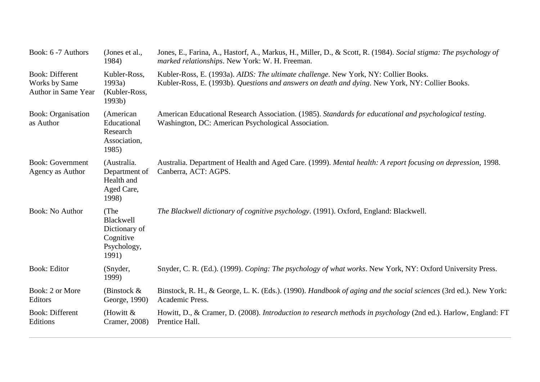| Book: 6 -7 Authors                                                    | (Jones et al.,<br>1984)                                                 | Jones, E., Farina, A., Hastorf, A., Markus, H., Miller, D., & Scott, R. (1984). Social stigma: The psychology of<br>marked relationships. New York: W. H. Freeman.                     |
|-----------------------------------------------------------------------|-------------------------------------------------------------------------|----------------------------------------------------------------------------------------------------------------------------------------------------------------------------------------|
| <b>Book: Different</b><br><b>Works by Same</b><br>Author in Same Year | Kubler-Ross,<br>1993a)<br>(Kubler-Ross,<br>1993b)                       | Kubler-Ross, E. (1993a). AIDS: The ultimate challenge. New York, NY: Collier Books.<br>Kubler-Ross, E. (1993b). Questions and answers on death and dying. New York, NY: Collier Books. |
| <b>Book: Organisation</b><br>as Author                                | (American<br>Educational<br>Research<br>Association,<br>1985)           | American Educational Research Association. (1985). Standards for educational and psychological testing.<br>Washington, DC: American Psychological Association.                         |
| <b>Book:</b> Government<br>Agency as Author                           | (Australia.<br>Department of<br>Health and<br>Aged Care,<br>1998)       | Australia. Department of Health and Aged Care. (1999). Mental health: A report focusing on depression, 1998.<br>Canberra, ACT: AGPS.                                                   |
| <b>Book: No Author</b>                                                | (The<br>Blackwell<br>Dictionary of<br>Cognitive<br>Psychology,<br>1991) | The Blackwell dictionary of cognitive psychology. (1991). Oxford, England: Blackwell.                                                                                                  |
| <b>Book: Editor</b>                                                   | (Snyder,<br>1999)                                                       | Snyder, C. R. (Ed.). (1999). Coping: The psychology of what works. New York, NY: Oxford University Press.                                                                              |
| Book: 2 or More<br>Editors                                            | (Binstock $\&$<br>George, 1990)                                         | Binstock, R. H., & George, L. K. (Eds.). (1990). Handbook of aging and the social sciences (3rd ed.). New York:<br>Academic Press.                                                     |
| <b>Book: Different</b><br>Editions                                    | (Howitt $&$<br>Cramer, 2008)                                            | Howitt, D., & Cramer, D. (2008). Introduction to research methods in psychology (2nd ed.). Harlow, England: FT<br>Prentice Hall.                                                       |
|                                                                       |                                                                         |                                                                                                                                                                                        |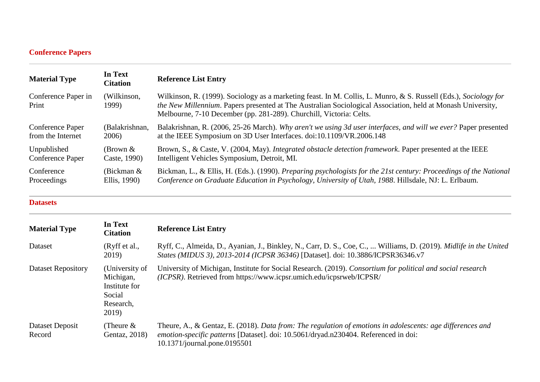# **[Conference Papers](https://libguides.murdoch.edu.au/APA/conference)**

| <b>Material Type</b>         | In Text<br><b>Citation</b> | <b>Reference List Entry</b>                                                                                                                                                                                                                                                                                   |
|------------------------------|----------------------------|---------------------------------------------------------------------------------------------------------------------------------------------------------------------------------------------------------------------------------------------------------------------------------------------------------------|
| Conference Paper in<br>Print | (Wilkinson,<br>1999)       | Wilkinson, R. (1999). Sociology as a marketing feast. In M. Collis, L. Munro, & S. Russell (Eds.), Sociology for<br><i>the New Millennium.</i> Papers presented at The Australian Sociological Association, held at Monash University,<br>Melbourne, 7-10 December (pp. 281-289). Churchill, Victoria: Celts. |
| <b>Conference Paper</b>      | (Balakrishnan,             | Balakrishnan, R. (2006, 25-26 March). Why aren't we using 3d user interfaces, and will we ever? Paper presented                                                                                                                                                                                               |
| from the Internet            | 2006)                      | at the IEEE Symposium on 3D User Interfaces. doi:10.1109/VR.2006.148                                                                                                                                                                                                                                          |
| Unpublished                  | (Brown $\&$                | Brown, S., & Caste, V. (2004, May). Integrated obstacle detection framework. Paper presented at the IEEE                                                                                                                                                                                                      |
| Conference Paper             | Caste, 1990)               | Intelligent Vehicles Symposium, Detroit, MI.                                                                                                                                                                                                                                                                  |
| Conference                   | (Bickman $&$               | Bickman, L., & Ellis, H. (Eds.). (1990). Preparing psychologists for the 21st century: Proceedings of the National                                                                                                                                                                                            |
| Proceedings                  | Ellis, 1990)               | Conference on Graduate Education in Psychology, University of Utah, 1988. Hillsdale, NJ: L. Erlbaum.                                                                                                                                                                                                          |

### **[Datasets](https://libguides.murdoch.edu.au/APA/dataset)**

| <b>Material Type</b>      | In Text<br><b>Citation</b>                                                   | <b>Reference List Entry</b>                                                                                                                                                                                                       |
|---------------------------|------------------------------------------------------------------------------|-----------------------------------------------------------------------------------------------------------------------------------------------------------------------------------------------------------------------------------|
| Dataset                   | (Ryff et al.,<br>2019)                                                       | Ryff, C., Almeida, D., Ayanian, J., Binkley, N., Carr, D. S., Coe, C.,  Williams, D. (2019). Midlife in the United<br>States (MIDUS 3), 2013-2014 (ICPSR 36346) [Dataset]. doi: 10.3886/ICPSR36346.v7                             |
| <b>Dataset Repository</b> | (University of<br>Michigan,<br>Institute for<br>Social<br>Research,<br>2019) | University of Michigan, Institute for Social Research. (2019). Consortium for political and social research<br>(ICPSR). Retrieved from https://www.icpsr.umich.edu/icpsrweb/ICPSR/                                                |
| Dataset Deposit<br>Record | (Theure $&$<br>Gentaz, 2018)                                                 | Theure, A., & Gentaz, E. (2018). Data from: The regulation of emotions in adolescents: age differences and<br>emotion-specific patterns [Dataset]. doi: 10.5061/dryad.n230404. Referenced in doi:<br>10.1371/journal.pone.0195501 |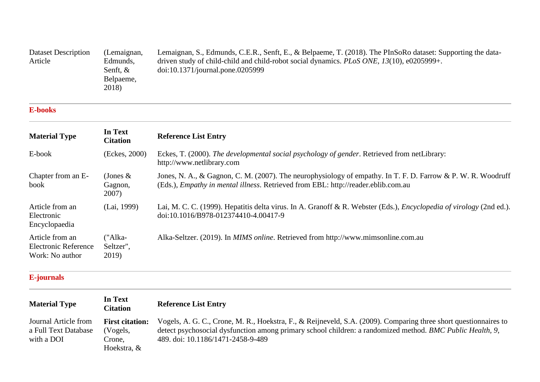| Dataset Description | (Lemaignan, | Lemaignan, S., Edmunds, C.E.R., Senft, E., & Belpaeme, T. (2018). The PInSoRo dataset: Supporting the data- |
|---------------------|-------------|-------------------------------------------------------------------------------------------------------------|
| Article             | Edmunds,    | driven study of child-child and child-robot social dynamics. <i>PLoS ONE</i> , $13(10)$ , e0205999+.        |
|                     | Senft, $&$  | doi:10.1371/journal.pone.0205999                                                                            |
|                     | Belpaeme,   |                                                                                                             |
|                     | 2018)       |                                                                                                             |

### **[E-books](https://libguides.murdoch.edu.au/APA/ebook)**

| <b>Material Type</b>                                              | In Text<br><b>Citation</b>      | <b>Reference List Entry</b>                                                                                                                                                                               |
|-------------------------------------------------------------------|---------------------------------|-----------------------------------------------------------------------------------------------------------------------------------------------------------------------------------------------------------|
| E-book                                                            | (Eckes, 2000)                   | Eckes, T. (2000). The developmental social psychology of gender. Retrieved from netLibrary:<br>http://www.netlibrary.com                                                                                  |
| Chapter from an E-<br>book                                        | (Jones $\&$<br>Gagnon,<br>2007) | Jones, N. A., & Gagnon, C. M. (2007). The neurophysiology of empathy. In T. F. D. Farrow & P. W. R. Woodruff<br>(Eds.), <i>Empathy in mental illness</i> . Retrieved from EBL: http://reader.eblib.com.au |
| Article from an<br>Electronic<br>Encyclopaedia                    | (Lai, 1999)                     | Lai, M. C. C. (1999). Hepatitis delta virus. In A. Granoff & R. Webster (Eds.), <i>Encyclopedia of virology</i> (2nd ed.).<br>doi:10.1016/B978-012374410-4.00417-9                                        |
| Article from an<br><b>Electronic Reference</b><br>Work: No author | ("Alka-<br>Seltzer",<br>2019)   | Alka-Seltzer. (2019). In MIMS online. Retrieved from http://www.mimsonline.com.au                                                                                                                         |

## **[E-journals](https://libguides.murdoch.edu.au/APA/ejournal)**

| <b>Material Type</b>                                       | In Text<br><b>Citation</b>                                  | <b>Reference List Entry</b>                                                                                                                                                                                                                                        |
|------------------------------------------------------------|-------------------------------------------------------------|--------------------------------------------------------------------------------------------------------------------------------------------------------------------------------------------------------------------------------------------------------------------|
| Journal Article from<br>a Full Text Database<br>with a DOI | <b>First citation:</b><br>(Vogels,<br>Crone,<br>Hoekstra, & | Vogels, A. G. C., Crone, M. R., Hoekstra, F., & Reijneveld, S.A. (2009). Comparing three short questionnaires to<br>detect psychosocial dysfunction among primary school children: a randomized method. BMC Public Health, 9,<br>489. doi: 10.1186/1471-2458-9-489 |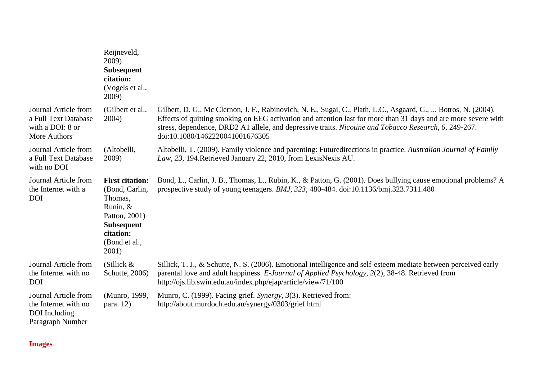|                                                                                   | Reijneveld,<br>2009)<br><b>Subsequent</b><br>citation:<br>(Vogels et al.,<br>2009)                                                           |                                                                                                                                                                                                                                                                                                                                                                               |
|-----------------------------------------------------------------------------------|----------------------------------------------------------------------------------------------------------------------------------------------|-------------------------------------------------------------------------------------------------------------------------------------------------------------------------------------------------------------------------------------------------------------------------------------------------------------------------------------------------------------------------------|
| Journal Article from<br>a Full Text Database<br>with a DOI: 8 or<br>More Authors  | (Gilbert et al.,<br>2004)                                                                                                                    | Gilbert, D. G., Mc Clernon, J. F., Rabinovich, N. E., Sugai, C., Plath, L.C., Asgaard, G.,  Botros, N. (2004).<br>Effects of quitting smoking on EEG activation and attention last for more than 31 days and are more severe with<br>stress, dependence, DRD2 A1 allele, and depressive traits. Nicotine and Tobacco Research, 6, 249-267.<br>doi:10.1080/1462220041001676305 |
| Journal Article from<br>a Full Text Database<br>with no DOI                       | (Altobelli,<br>2009)                                                                                                                         | Altobelli, T. (2009). Family violence and parenting: Futuredirections in practice. Australian Journal of Family<br>Law, 23, 194. Retrieved January 22, 2010, from LexisNexis AU.                                                                                                                                                                                              |
| Journal Article from<br>the Internet with a<br><b>DOI</b>                         | <b>First citation:</b><br>(Bond, Carlin,<br>Thomas,<br>Runin, &<br>Patton, 2001)<br><b>Subsequent</b><br>citation:<br>(Bond et al.,<br>2001) | Bond, L., Carlin, J. B., Thomas, L., Rubin, K., & Patton, G. (2001). Does bullying cause emotional problems? A<br>prospective study of young teenagers. BMJ, 323, 480-484. doi:10.1136/bmj.323.7311.480                                                                                                                                                                       |
| Journal Article from<br>the Internet with no<br><b>DOI</b>                        | (Sillick $&$<br>Schutte, 2006)                                                                                                               | Sillick, T. J., & Schutte, N. S. (2006). Emotional intelligence and self-esteem mediate between perceived early<br>parental love and adult happiness. E-Journal of Applied Psychology, 2(2), 38-48. Retrieved from<br>http://ojs.lib.swin.edu.au/index.php/ejap/article/view/71/100                                                                                           |
| Journal Article from<br>the Internet with no<br>DOI Including<br>Paragraph Number | (Munro, 1999,<br>para. 12)                                                                                                                   | Munro, C. (1999). Facing grief. Synergy, 3(3). Retrieved from:<br>http://about.murdoch.edu.au/synergy/0303/grief.html                                                                                                                                                                                                                                                         |

**[Images](https://libguides.murdoch.edu.au/APA/images)**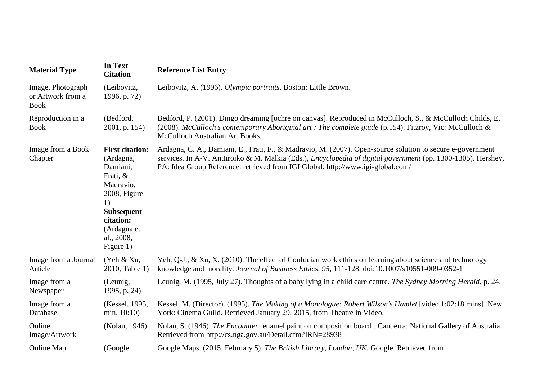| <b>Material Type</b>                                  | In Text<br><b>Citation</b>                                                                                                                                                 | <b>Reference List Entry</b>                                                                                                                                                                                                                                                                                           |
|-------------------------------------------------------|----------------------------------------------------------------------------------------------------------------------------------------------------------------------------|-----------------------------------------------------------------------------------------------------------------------------------------------------------------------------------------------------------------------------------------------------------------------------------------------------------------------|
| Image, Photograph<br>or Artwork from a<br><b>Book</b> | (Leibovitz,<br>1996, p. 72)                                                                                                                                                | Leibovitz, A. (1996). Olympic portraits. Boston: Little Brown.                                                                                                                                                                                                                                                        |
| Reproduction in a<br><b>Book</b>                      | (Bedford,<br>2001, p. 154)                                                                                                                                                 | Bedford, P. (2001). Dingo dreaming [ochre on canvas]. Reproduced in McCulloch, S., & McCulloch Childs, E.<br>(2008). McCulloch's contemporary Aboriginal art: The complete guide (p.154). Fitzroy, Vic: McCulloch &<br>McCulloch Australian Art Books.                                                                |
| Image from a Book<br>Chapter                          | <b>First citation:</b><br>(Ardagna,<br>Damiani,<br>Frati, &<br>Madravio,<br>2008, Figure<br>1)<br><b>Subsequent</b><br>citation:<br>(Ardagna et<br>al., 2008,<br>Figure 1) | Ardagna, C. A., Damiani, E., Frati, F., & Madravio, M. (2007). Open-source solution to secure e-government<br>services. In A-V. Anttiroiko & M. Malkia (Eds.), <i>Encyclopedia of digital government</i> (pp. 1300-1305). Hershey,<br>PA: Idea Group Reference. retrieved from IGI Global, http://www.igi-global.com/ |
| Image from a Journal<br>Article                       | (Yeh & Xu,<br>2010, Table 1)                                                                                                                                               | Yeh, Q-J., & Xu, X. (2010). The effect of Confucian work ethics on learning about science and technology<br>knowledge and morality. Journal of Business Ethics, 95, 111-128. doi:10.1007/s10551-009-0352-1                                                                                                            |
| Image from a<br>Newspaper                             | (Leunig,<br>1995, p. 24)                                                                                                                                                   | Leunig, M. (1995, July 27). Thoughts of a baby lying in a child care centre. The Sydney Morning Herald, p. 24.                                                                                                                                                                                                        |
| Image from a<br>Database                              | (Kessel, 1995,<br>min. $10:10$ )                                                                                                                                           | Kessel, M. (Director). (1995). The Making of a Monologue: Robert Wilson's Hamlet [video,1:02:18 mins]. New<br>York: Cinema Guild. Retrieved January 29, 2015, from Theatre in Video.                                                                                                                                  |
| Online<br>Image/Artwork                               | (Nolan, 1946)                                                                                                                                                              | Nolan, S. (1946). The Encounter [enamel paint on composition board]. Canberra: National Gallery of Australia.<br>Retrieved from http://cs.nga.gov.au/Detail.cfm?IRN=28938                                                                                                                                             |
| Online Map                                            | (Google)                                                                                                                                                                   | Google Maps. (2015, February 5). The British Library, London, UK. Google. Retrieved from                                                                                                                                                                                                                              |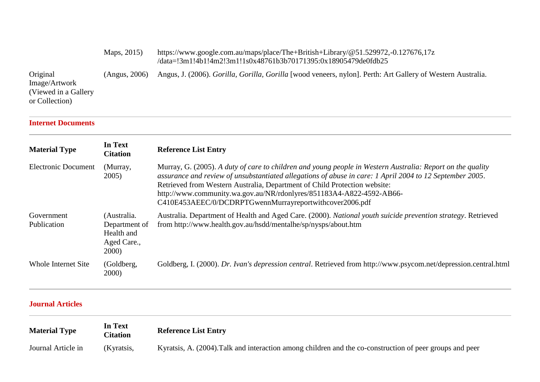|                                                                      | Maps, 2015)   | https://www.google.com.au/maps/place/The+British+Library/@51.529972,-0.127676,17z<br>/data=!3m1!4b1!4m2!3m1!1s0x48761b3b70171395:0x18905479de0fdb25 |
|----------------------------------------------------------------------|---------------|-----------------------------------------------------------------------------------------------------------------------------------------------------|
| Original<br>Image/Artwork<br>(Viewed in a Gallery)<br>or Collection) | (Angus, 2006) | Angus, J. (2006). Gorilla, Gorilla, Gorilla [wood veneers, nylon]. Perth: Art Gallery of Western Australia.                                         |

### **[Internet Documents](https://libguides.murdoch.edu.au/APA/internet)**

| <b>Material Type</b>       | In Text<br><b>Citation</b>                                         | <b>Reference List Entry</b>                                                                                                                                                                                                                                                                                                                                                                                                            |
|----------------------------|--------------------------------------------------------------------|----------------------------------------------------------------------------------------------------------------------------------------------------------------------------------------------------------------------------------------------------------------------------------------------------------------------------------------------------------------------------------------------------------------------------------------|
| <b>Electronic Document</b> | (Murray,<br>2005)                                                  | Murray, G. (2005). A duty of care to children and young people in Western Australia: Report on the quality<br>assurance and review of unsubstantiated allegations of abuse in care: 1 April 2004 to 12 September 2005.<br>Retrieved from Western Australia, Department of Child Protection website:<br>http://www.community.wa.gov.au/NR/rdonlyres/851183A4-A822-4592-AB66-<br>C410E453AEEC/0/DCDRPTGwennMurrayreportwithcover2006.pdf |
| Government<br>Publication  | (Australia.<br>Department of<br>Health and<br>Aged Care.,<br>2000) | Australia. Department of Health and Aged Care. (2000). National youth suicide prevention strategy. Retrieved<br>from http://www.health.gov.au/hsdd/mentalhe/sp/nysps/about.htm                                                                                                                                                                                                                                                         |
| Whole Internet Site        | (Goldberg,<br><b>2000</b> )                                        | Goldberg, I. (2000). Dr. Ivan's depression central. Retrieved from http://www.psycom.net/depression.central.html                                                                                                                                                                                                                                                                                                                       |

## **[Journal Articles](https://libguides.murdoch.edu.au/APA/journal)**

| <b>Material Type</b> | In Text<br><b>Titation</b> | <b>Reference List Entry</b>                                                                              |
|----------------------|----------------------------|----------------------------------------------------------------------------------------------------------|
| Journal Article in   | (Kyratsis,                 | Kyratsis, A. (2004). Talk and interaction among children and the co-construction of peer groups and peer |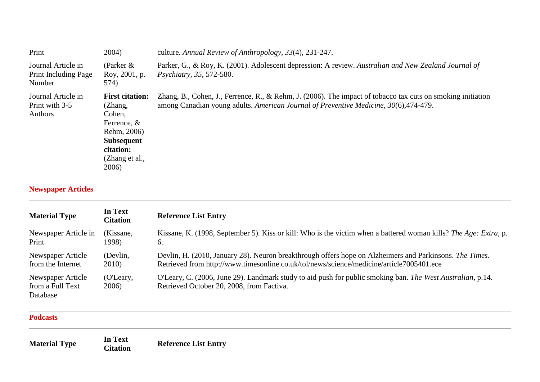| Print                                                  | 2004)                                                                                                                                    | culture. Annual Review of Anthropology, 33(4), 231-247.                                                                                                                                              |
|--------------------------------------------------------|------------------------------------------------------------------------------------------------------------------------------------------|------------------------------------------------------------------------------------------------------------------------------------------------------------------------------------------------------|
| Journal Article in<br>Print Including Page<br>Number   | (Parker $\&$<br>Roy, 2001, p.<br>574)                                                                                                    | Parker, G., & Roy, K. (2001). Adolescent depression: A review. Australian and New Zealand Journal of<br><i>Psychiatry, 35, 572-580.</i>                                                              |
| Journal Article in<br>Print with 3-5<br><b>Authors</b> | <b>First citation:</b><br>(Zhang,<br>Cohen,<br>Ferrence, $&$<br>Rehm, 2006)<br><b>Subsequent</b><br>citation:<br>(Zhang et al.,<br>2006) | Zhang, B., Cohen, J., Ferrence, R., & Rehm, J. (2006). The impact of tobacco tax cuts on smoking initiation<br>among Canadian young adults. American Journal of Preventive Medicine, 30(6), 474-479. |

# **[Newspaper Articles](https://libguides.murdoch.edu.au/APA/newspaper)**

| <b>Material Type</b>                              | In Text<br><b>Citation</b> | <b>Reference List Entry</b>                                                                                                                             |
|---------------------------------------------------|----------------------------|---------------------------------------------------------------------------------------------------------------------------------------------------------|
| Newspaper Article in                              | (Kissane,                  | Kissane, K. (1998, September 5). Kiss or kill: Who is the victim when a battered woman kills? The Age: Extra, p.                                        |
| Print                                             | 1998).                     | 6.                                                                                                                                                      |
| Newspaper Article                                 | (Devlin,                   | Devlin, H. (2010, January 28). Neuron breakthrough offers hope on Alzheimers and Parkinsons. The Times.                                                 |
| from the Internet                                 | 2010)                      | Retrieved from http://www.timesonline.co.uk/tol/news/science/medicine/article7005401.ece                                                                |
| Newspaper Article<br>from a Full Text<br>Database | (O'Leary,<br>2006)         | O'Leary, C. (2006, June 29). Landmark study to aid push for public smoking ban. The West Australian, p.14.<br>Retrieved October 20, 2008, from Factiva. |

#### **[Podcasts](https://libguides.murdoch.edu.au/APA/podcast)**

| <b>Material Type</b> | In Text<br><b>Citation</b> | <b>Reference List Entry</b> |
|----------------------|----------------------------|-----------------------------|
|----------------------|----------------------------|-----------------------------|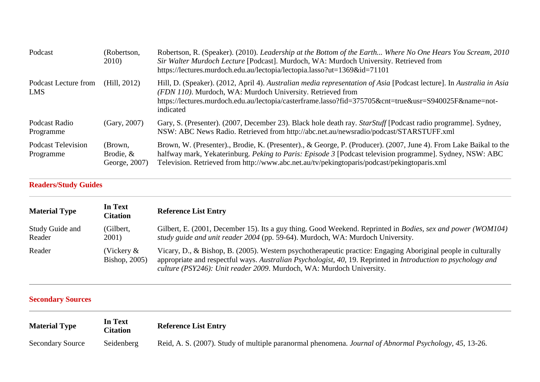| Podcast                                | (Robertson,<br>2010)                  | Robertson, R. (Speaker). (2010). Leadership at the Bottom of the Earth Where No One Hears You Scream, 2010<br>Sir Walter Murdoch Lecture [Podcast]. Murdoch, WA: Murdoch University. Retrieved from<br>https://lectures.murdoch.edu.au/lectopia/lectopia.lasso?ut=1369&id=71101                                              |
|----------------------------------------|---------------------------------------|------------------------------------------------------------------------------------------------------------------------------------------------------------------------------------------------------------------------------------------------------------------------------------------------------------------------------|
| Podcast Lecture from<br><b>LMS</b>     | (Hill, 2012)                          | Hill, D. (Speaker). (2012, April 4). Australian media representation of Asia [Podcast lecture]. In Australia in Asia<br>(FDN 110). Murdoch, WA: Murdoch University. Retrieved from<br>https://lectures.murdoch.edu.au/lectopia/casterframe.lasso?fid=375705&cnt=true&usr=S940025F&name=not-<br>indicated                     |
| Podcast Radio<br>Programme             | (Gary, 2007)                          | Gary, S. (Presenter). (2007, December 23). Black hole death ray. <i>StarStuff</i> [Podcast radio programme]. Sydney,<br>NSW: ABC News Radio. Retrieved from http://abc.net.au/newsradio/podcast/STARSTUFF.xml                                                                                                                |
| <b>Podcast Television</b><br>Programme | (Brown,<br>Brodie, &<br>George, 2007) | Brown, W. (Presenter)., Brodie, K. (Presenter)., & George, P. (Producer). (2007, June 4). From Lake Baikal to the<br>halfway mark, Yekaterinburg. Peking to Paris: Episode 3 [Podcast television programme]. Sydney, NSW: ABC<br>Television. Retrieved from http://www.abc.net.au/tv/pekingtoparis/podcast/pekingtoparis.xml |

# **[Readers/Study Guides](https://libguides.murdoch.edu.au/APA/reader)**

| <b>Material Type</b>      | In Text<br><b>Citation</b>  | <b>Reference List Entry</b>                                                                                                                                                                                                                                                                            |
|---------------------------|-----------------------------|--------------------------------------------------------------------------------------------------------------------------------------------------------------------------------------------------------------------------------------------------------------------------------------------------------|
| Study Guide and<br>Reader | (Gilbert,<br>2001)          | Gilbert, E. (2001, December 15). Its a guy thing. Good Weekend. Reprinted in <i>Bodies, sex and power</i> (WOM104)<br>study guide and unit reader 2004 (pp. 59-64). Murdoch, WA: Murdoch University.                                                                                                   |
| Reader                    | (Vickery &<br>Bishop, 2005) | Vicary, D., & Bishop, B. (2005). Western psychotherapeutic practice: Engaging Aboriginal people in culturally<br>appropriate and respectful ways. Australian Psychologist, 40, 19. Reprinted in Introduction to psychology and<br>culture (PSY246): Unit reader 2009. Murdoch, WA: Murdoch University. |

# **[Secondary Sources](https://libguides.murdoch.edu.au/APA/citing_secondary)**

| <b>Material Type</b>    | In Text<br><b>Citation</b> | <b>Reference List Entry</b>                                                                            |
|-------------------------|----------------------------|--------------------------------------------------------------------------------------------------------|
| <b>Secondary Source</b> | Seidenberg                 | Reid, A. S. (2007). Study of multiple paranormal phenomena. Journal of Abnormal Psychology, 45, 13-26. |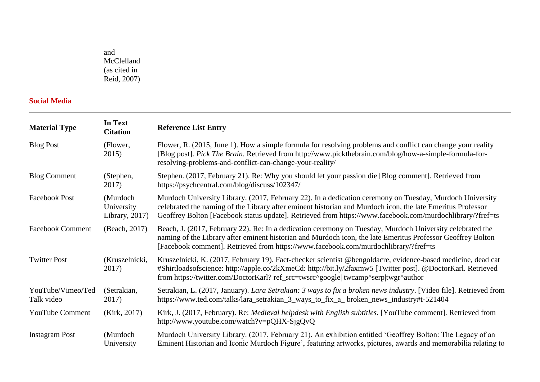and McClelland (as cited in Reid, 2007)

# **[Social Media](https://libguides.murdoch.edu.au/APA/social_media)**

| <b>Material Type</b>            | In Text<br><b>Citation</b>                  | <b>Reference List Entry</b>                                                                                                                                                                                                                                                                                                         |
|---------------------------------|---------------------------------------------|-------------------------------------------------------------------------------------------------------------------------------------------------------------------------------------------------------------------------------------------------------------------------------------------------------------------------------------|
| <b>Blog Post</b>                | (Flower,<br>2015)                           | Flower, R. (2015, June 1). How a simple formula for resolving problems and conflict can change your reality<br>[Blog post]. Pick The Brain. Retrieved from http://www.pickthebrain.com/blog/how-a-simple-formula-for-<br>resolving-problems-and-conflict-can-change-your-reality/                                                   |
| <b>Blog Comment</b>             | (Stephen,<br>2017)                          | Stephen. (2017, February 21). Re: Why you should let your passion die [Blog comment]. Retrieved from<br>https://psychcentral.com/blog/discuss/102347/                                                                                                                                                                               |
| <b>Facebook Post</b>            | (Murdoch<br>University<br>Library, $2017$ ) | Murdoch University Library. (2017, February 22). In a dedication ceremony on Tuesday, Murdoch University<br>celebrated the naming of the Library after eminent historian and Murdoch icon, the late Emeritus Professor<br>Geoffrey Bolton [Facebook status update]. Retrieved from https://www.facebook.com/murdochlibrary/?fref=ts |
| <b>Facebook Comment</b>         | (Beach, 2017)                               | Beach, J. (2017, February 22). Re: In a dedication ceremony on Tuesday, Murdoch University celebrated the<br>naming of the Library after eminent historian and Murdoch icon, the late Emeritus Professor Geoffrey Bolton<br>[Facebook comment]. Retrieved from https://www.facebook.com/murdochlibrary/?fref=ts                     |
| <b>Twitter Post</b>             | (Kruszelnicki,<br>2017)                     | Kruszelnicki, K. (2017, February 19). Fact-checker scientist @bengoldacre, evidence-based medicine, dead cat<br>#Shirtloadsofscience: http://apple.co/2kXmeCd: http://bit.ly/2faxmw5 [Twitter post]. @DoctorKarl. Retrieved<br>from https://twitter.com/DoctorKarl? ref_src=twsrc^google  twcamp^serp twgr^author                   |
| YouTube/Vimeo/Ted<br>Talk video | (Setrakian,<br>2017)                        | Setrakian, L. (2017, January). Lara Setrakian: 3 ways to fix a broken news industry. [Video file]. Retrieved from<br>https://www.ted.com/talks/lara_setrakian_3_ways_to_fix_a_broken_news_industry#t-521404                                                                                                                         |
| <b>YouTube Comment</b>          | (Kirk, 2017)                                | Kirk, J. (2017, February). Re: Medieval helpdesk with English subtitles. [YouTube comment]. Retrieved from<br>http://www.youtube.com/watch?v=pQHX-SjgQvQ                                                                                                                                                                            |
| <b>Instagram Post</b>           | (Murdoch<br>University                      | Murdoch University Library. (2017, February 21). An exhibition entitled 'Geoffrey Bolton: The Legacy of an<br>Eminent Historian and Iconic Murdoch Figure', featuring artworks, pictures, awards and memorabilia relating to                                                                                                        |